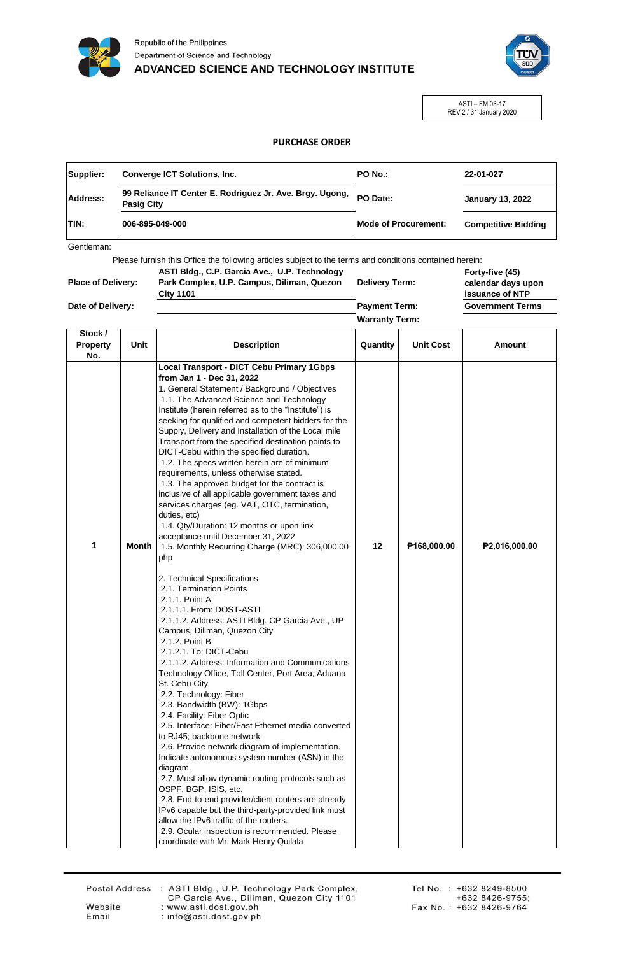



ASTI – FM 03-17 REV 2 / 31 January 2020

## **PURCHASE ORDER**

| Supplier:       | <b>Converge ICT Solutions, Inc.</b>                                           | PO No.:                     | 22-01-027                  |
|-----------------|-------------------------------------------------------------------------------|-----------------------------|----------------------------|
| <b>Address:</b> | 99 Reliance IT Center E. Rodriguez Jr. Ave. Brgy. Ugong,<br><b>Pasig City</b> | PO Date:                    | <b>January 13, 2022</b>    |
| <b>TIN:</b>     | 006-895-049-000                                                               | <b>Mode of Procurement:</b> | <b>Competitive Bidding</b> |
|                 |                                                                               |                             |                            |

Gentleman:

Please furnish this Office the following articles subject to the terms and conditions contained herein:

| <b>Place of Delivery:</b> | ASTI Bldg., C.P. Garcia Ave., U.P. Technology<br>Park Complex, U.P. Campus, Diliman, Quezon<br><b>City 1101</b> | <b>Delivery Term:</b> | Forty-five (45)<br>calendar days upon<br>issuance of NTP |
|---------------------------|-----------------------------------------------------------------------------------------------------------------|-----------------------|----------------------------------------------------------|
| Date of Delivery:         |                                                                                                                 | <b>Payment Term:</b>  | <b>Government Terms</b>                                  |
|                           |                                                                                                                 | <b>Warranty Term:</b> |                                                          |

| Stock /<br>Property<br>No. | Unit  | <b>Description</b>                                                                                                                                                                                                                                                                                                                                                                                                                                                                                                                                                                                                                                                                                                                                                                                                                                                                                                                                                                        | Quantity | <b>Unit Cost</b> | Amount        |
|----------------------------|-------|-------------------------------------------------------------------------------------------------------------------------------------------------------------------------------------------------------------------------------------------------------------------------------------------------------------------------------------------------------------------------------------------------------------------------------------------------------------------------------------------------------------------------------------------------------------------------------------------------------------------------------------------------------------------------------------------------------------------------------------------------------------------------------------------------------------------------------------------------------------------------------------------------------------------------------------------------------------------------------------------|----------|------------------|---------------|
| 1                          | Month | <b>Local Transport - DICT Cebu Primary 1Gbps</b><br>from Jan 1 - Dec 31, 2022<br>1. General Statement / Background / Objectives<br>1.1. The Advanced Science and Technology<br>Institute (herein referred as to the "Institute") is<br>seeking for qualified and competent bidders for the<br>Supply, Delivery and Installation of the Local mile<br>Transport from the specified destination points to<br>DICT-Cebu within the specified duration.<br>1.2. The specs written herein are of minimum<br>requirements, unless otherwise stated.<br>1.3. The approved budget for the contract is<br>inclusive of all applicable government taxes and<br>services charges (eg. VAT, OTC, termination,<br>duties, etc)<br>1.4. Qty/Duration: 12 months or upon link<br>acceptance until December 31, 2022<br>1.5. Monthly Recurring Charge (MRC): 306,000.00<br>php                                                                                                                            | 12       | P168,000.00      | P2,016,000.00 |
|                            |       | 2. Technical Specifications<br>2.1. Termination Points<br>2.1.1. Point A<br>2.1.1.1. From: DOST-ASTI<br>2.1.1.2. Address: ASTI Bldg. CP Garcia Ave., UP<br>Campus, Diliman, Quezon City<br>2.1.2. Point B<br>2.1.2.1. To: DICT-Cebu<br>2.1.1.2. Address: Information and Communications<br>Technology Office, Toll Center, Port Area, Aduana<br>St. Cebu City<br>2.2. Technology: Fiber<br>2.3. Bandwidth (BW): 1Gbps<br>2.4. Facility: Fiber Optic<br>2.5. Interface: Fiber/Fast Ethernet media converted<br>to RJ45; backbone network<br>2.6. Provide network diagram of implementation.<br>Indicate autonomous system number (ASN) in the<br>diagram.<br>2.7. Must allow dynamic routing protocols such as<br>OSPF, BGP, ISIS, etc.<br>2.8. End-to-end provider/client routers are already<br>IPv6 capable but the third-party-provided link must<br>allow the IPv6 traffic of the routers.<br>2.9. Ocular inspection is recommended. Please<br>coordinate with Mr. Mark Henry Quilala |          |                  |               |

Email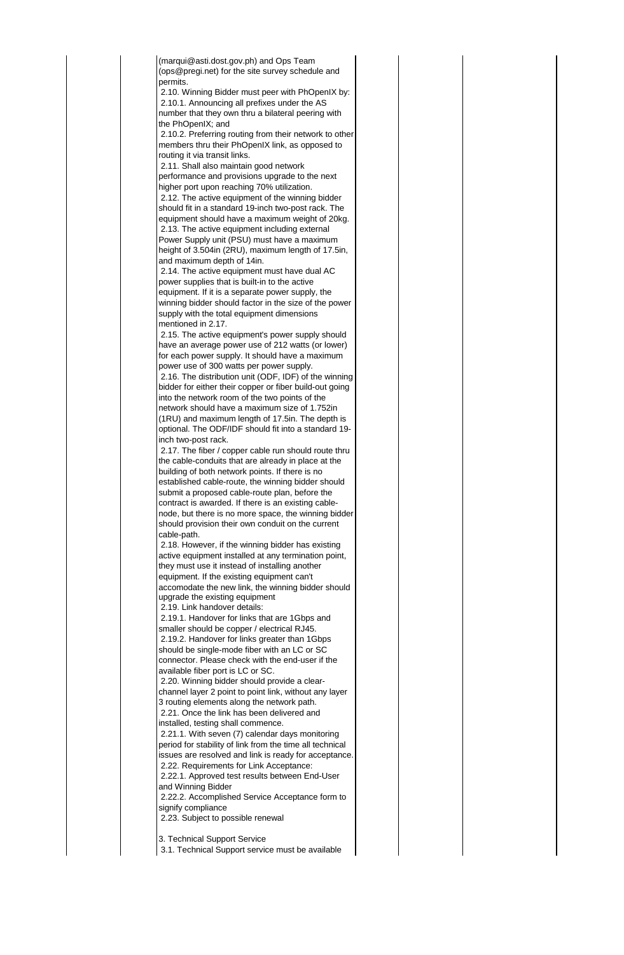(marqui@asti.dost.gov.ph) and Ops Team (ops@pregi.net) for the site survey schedule and permits. 2.10. Winning Bidder must peer with PhOpenIX by: 2.10.1. Announcing all prefixes under the AS number that they own thru a bilateral peering with the PhOpenIX; and 2.10.2. Preferring routing from their network to other members thru their PhOpenIX link, as opposed to routing it via transit links. 2.11. Shall also maintain good network performance and provisions upgrade to the next higher port upon reaching 70% utilization. 2.12. The active equipment of the winning bidder should fit in a standard 19-inch two-post rack. The equipment should have a maximum weight of 20kg. 2.13. The active equipment including external Power Supply unit (PSU) must have a maximum height of 3.504in (2RU), maximum length of 17.5in, and maximum depth of 14in. 2.14. The active equipment must have dual AC power supplies that is built-in to the active equipment. If it is a separate power supply, the winning bidder should factor in the size of the power supply with the total equipment dimensions mentioned in 2.17. 2.15. The active equipment's power supply should have an average power use of 212 watts (or lower) for each power supply. It should have a maximum power use of 300 watts per power supply. 2.16. The distribution unit (ODF, IDF) of the winning bidder for either their copper or fiber build-out going into the network room of the two points of the network should have a maximum size of 1.752in (1RU) and maximum length of 17.5in. The depth is optional. The ODF/IDF should fit into a standard 19 inch two-post rack. 2.17. The fiber / copper cable run should route thru the cable-conduits that are already in place at the building of both network points. If there is no established cable-route, the winning bidder should submit a proposed cable-route plan, before the contract is awarded. If there is an existing cablenode, but there is no more space, the winning bidder should provision their own conduit on the current cable-path. 2.18. However, if the winning bidder has existing active equipment installed at any termination point, they must use it instead of installing another equipment. If the existing equipment can't accomodate the new link, the winning bidder should upgrade the existing equipment 2.19. Link handover details: 2.19.1. Handover for links that are 1Gbps and smaller should be copper / electrical RJ45. 2.19.2. Handover for links greater than 1Gbps should be single-mode fiber with an LC or SC connector. Please check with the end-user if the available fiber port is LC or SC. 2.20. Winning bidder should provide a clearchannel layer 2 point to point link, without any layer 3 routing elements along the network path. 2.21. Once the link has been delivered and installed, testing shall commence. 2.21.1. With seven (7) calendar days monitoring period for stability of link from the time all technical issues are resolved and link is ready for acceptance. 2.22. Requirements for Link Acceptance: 2.22.1. Approved test results between End-User and Winning Bidder 2.22.2. Accomplished Service Acceptance form to signify compliance 2.23. Subject to possible renewal

3. Technical Support Service

3.1. Technical Support service must be available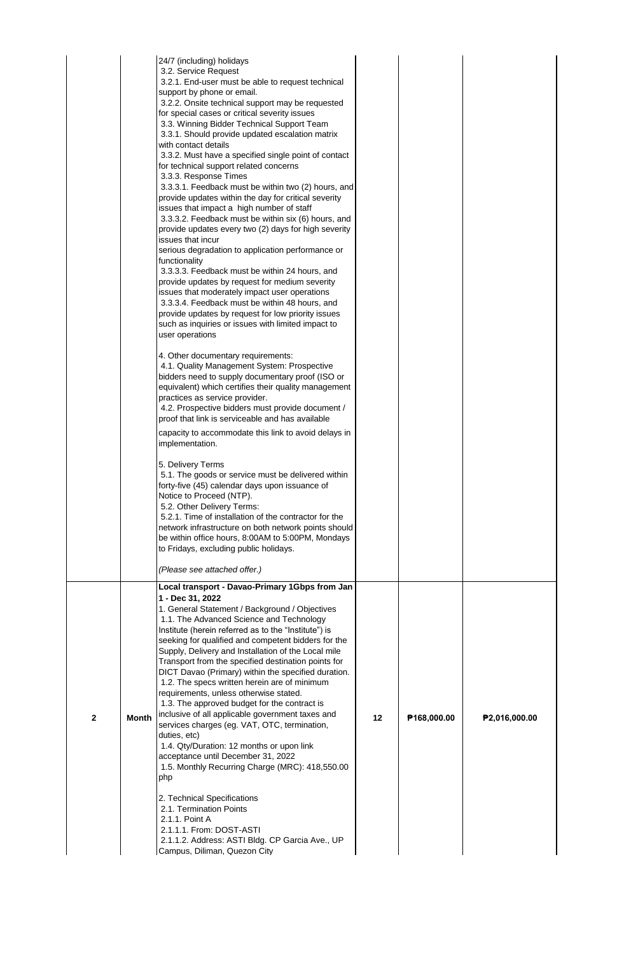|              |              | 24/7 (including) holidays<br>3.2. Service Request<br>3.2.1. End-user must be able to request technical<br>support by phone or email.<br>3.2.2. Onsite technical support may be requested<br>for special cases or critical severity issues<br>3.3. Winning Bidder Technical Support Team<br>3.3.1. Should provide updated escalation matrix<br>with contact details<br>3.3.2. Must have a specified single point of contact<br>for technical support related concerns<br>3.3.3. Response Times<br>3.3.3.1. Feedback must be within two (2) hours, and<br>provide updates within the day for critical severity<br>issues that impact a high number of staff<br>3.3.3.2. Feedback must be within six (6) hours, and<br>provide updates every two (2) days for high severity<br>issues that incur<br>serious degradation to application performance or<br>functionality<br>3.3.3.3. Feedback must be within 24 hours, and<br>provide updates by request for medium severity<br>issues that moderately impact user operations<br>3.3.3.4. Feedback must be within 48 hours, and<br>provide updates by request for low priority issues<br>such as inquiries or issues with limited impact to<br>user operations<br>4. Other documentary requirements:<br>4.1. Quality Management System: Prospective<br>bidders need to supply documentary proof (ISO or<br>equivalent) which certifies their quality management<br>practices as service provider.<br>4.2. Prospective bidders must provide document /<br>proof that link is serviceable and has available<br>capacity to accommodate this link to avoid delays in<br>implementation.<br>5. Delivery Terms<br>5.1. The goods or service must be delivered within<br>forty-five (45) calendar days upon issuance of<br>Notice to Proceed (NTP).<br>5.2. Other Delivery Terms:<br>5.2.1. Time of installation of the contractor for the<br>network infrastructure on both network points should<br>be within office hours, 8:00AM to 5:00PM, Mondays<br>to Fridays, excluding public holidays. |    |             |               |
|--------------|--------------|----------------------------------------------------------------------------------------------------------------------------------------------------------------------------------------------------------------------------------------------------------------------------------------------------------------------------------------------------------------------------------------------------------------------------------------------------------------------------------------------------------------------------------------------------------------------------------------------------------------------------------------------------------------------------------------------------------------------------------------------------------------------------------------------------------------------------------------------------------------------------------------------------------------------------------------------------------------------------------------------------------------------------------------------------------------------------------------------------------------------------------------------------------------------------------------------------------------------------------------------------------------------------------------------------------------------------------------------------------------------------------------------------------------------------------------------------------------------------------------------------------------------------------------------------------------------------------------------------------------------------------------------------------------------------------------------------------------------------------------------------------------------------------------------------------------------------------------------------------------------------------------------------------------------------------------------------------------------------------------------------------------------------------------|----|-------------|---------------|
|              |              | (Please see attached offer.)                                                                                                                                                                                                                                                                                                                                                                                                                                                                                                                                                                                                                                                                                                                                                                                                                                                                                                                                                                                                                                                                                                                                                                                                                                                                                                                                                                                                                                                                                                                                                                                                                                                                                                                                                                                                                                                                                                                                                                                                           |    |             |               |
| $\mathbf{2}$ | <b>Month</b> | Local transport - Davao-Primary 1Gbps from Jan<br>1 - Dec 31, 2022<br>1. General Statement / Background / Objectives<br>1.1. The Advanced Science and Technology<br>Institute (herein referred as to the "Institute") is<br>seeking for qualified and competent bidders for the<br>Supply, Delivery and Installation of the Local mile<br>Transport from the specified destination points for<br>DICT Davao (Primary) within the specified duration.<br>1.2. The specs written herein are of minimum<br>requirements, unless otherwise stated.<br>1.3. The approved budget for the contract is<br>inclusive of all applicable government taxes and<br>services charges (eg. VAT, OTC, termination,<br>duties, etc)<br>1.4. Qty/Duration: 12 months or upon link<br>acceptance until December 31, 2022<br>1.5. Monthly Recurring Charge (MRC): 418,550.00<br>php<br>2. Technical Specifications<br>2.1. Termination Points<br>2.1.1. Point A<br>2.1.1.1. From: DOST-ASTI<br>2.1.1.2. Address: ASTI Bldg. CP Garcia Ave., UP<br>Campus, Diliman, Quezon City                                                                                                                                                                                                                                                                                                                                                                                                                                                                                                                                                                                                                                                                                                                                                                                                                                                                                                                                                                             | 12 | P168,000.00 | P2,016,000.00 |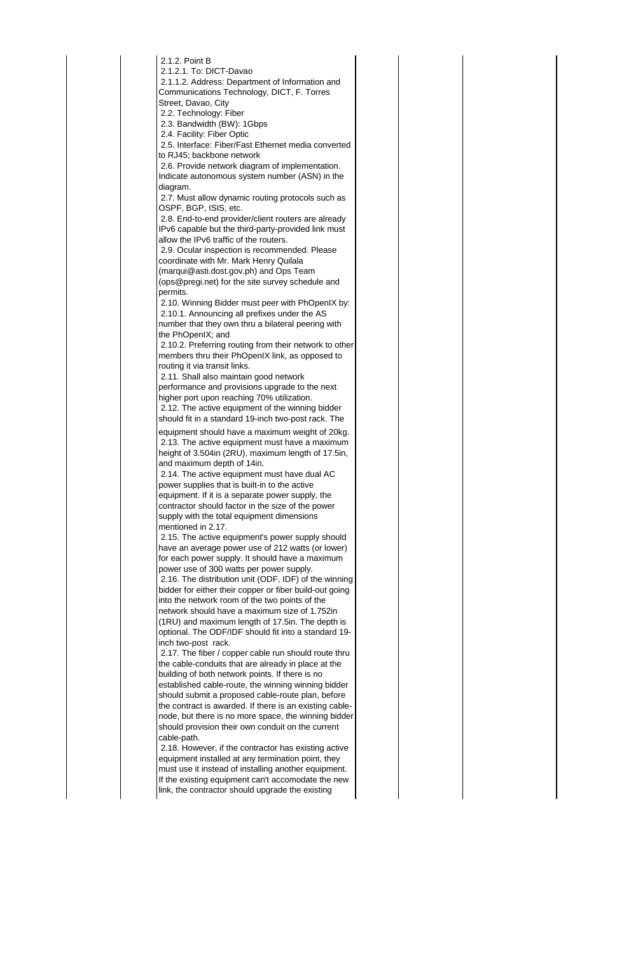| 2.1.2. Point B                                                                                           |
|----------------------------------------------------------------------------------------------------------|
| 2.1.2.1. To: DICT-Davao                                                                                  |
| 2.1.1.2. Address: Department of Information and                                                          |
| Communications Technology, DICT, F. Torres                                                               |
| Street, Davao, City                                                                                      |
| 2.2. Technology: Fiber                                                                                   |
| 2.3. Bandwidth (BW): 1Gbps                                                                               |
| 2.4. Facility: Fiber Optic                                                                               |
| 2.5. Interface: Fiber/Fast Ethernet media converted                                                      |
| to RJ45; backbone network                                                                                |
| 2.6. Provide network diagram of implementation.                                                          |
| Indicate autonomous system number (ASN) in the                                                           |
| diagram.                                                                                                 |
| 2.7. Must allow dynamic routing protocols such as<br>OSPF, BGP, ISIS, etc.                               |
| 2.8. End-to-end provider/client routers are already                                                      |
| IPv6 capable but the third-party-provided link must                                                      |
| allow the IPv6 traffic of the routers.                                                                   |
| 2.9. Ocular inspection is recommended. Please                                                            |
| coordinate with Mr. Mark Henry Quilala                                                                   |
| (marqui@asti.dost.gov.ph) and Ops Team                                                                   |
| (ops@pregi.net) for the site survey schedule and                                                         |
| permits.                                                                                                 |
| 2.10. Winning Bidder must peer with PhOpenIX by:                                                         |
| 2.10.1. Announcing all prefixes under the AS                                                             |
| number that they own thru a bilateral peering with                                                       |
| the PhOpenIX; and                                                                                        |
| 2.10.2. Preferring routing from their network to other                                                   |
| members thru their PhOpenIX link, as opposed to                                                          |
| routing it via transit links.                                                                            |
| 2.11. Shall also maintain good network                                                                   |
| performance and provisions upgrade to the next                                                           |
| higher port upon reaching 70% utilization.                                                               |
| 2.12. The active equipment of the winning bidder                                                         |
| should fit in a standard 19-inch two-post rack. The                                                      |
| equipment should have a maximum weight of 20kg.                                                          |
| 2.13. The active equipment must have a maximum                                                           |
| height of 3.504in (2RU), maximum length of 17.5in,                                                       |
| and maximum depth of 14in.                                                                               |
| 2.14. The active equipment must have dual AC                                                             |
| power supplies that is built-in to the active<br>equipment. If it is a separate power supply, the        |
| contractor should factor in the size of the power                                                        |
| supply with the total equipment dimensions                                                               |
| mentioned in 2.17.                                                                                       |
| 2.15. The active equipment's power supply should                                                         |
| have an average power use of 212 watts (or lower)                                                        |
| for each power supply. It should have a maximum                                                          |
| power use of 300 watts per power supply.                                                                 |
| 2.16. The distribution unit (ODF, IDF) of the winning                                                    |
| bidder for either their copper or fiber build-out going                                                  |
| into the network room of the two points of the                                                           |
| network should have a maximum size of 1.752in                                                            |
| (1RU) and maximum length of 17.5in. The depth is                                                         |
| optional. The ODF/IDF should fit into a standard 19-                                                     |
| inch two-post rack.                                                                                      |
| 2.17. The fiber / copper cable run should route thru                                                     |
| the cable-conduits that are already in place at the                                                      |
| building of both network points. If there is no                                                          |
| established cable-route, the winning winning bidder<br>should submit a proposed cable-route plan, before |
| the contract is awarded. If there is an existing cable-                                                  |
| node, but there is no more space, the winning bidder                                                     |
| should provision their own conduit on the current                                                        |
| cable-path.                                                                                              |
| 2.18. However, if the contractor has existing active                                                     |
| equipment installed at any termination point, they                                                       |
| must use it instead of installing another equipment.                                                     |
| If the existing equipment can't accomodate the new                                                       |
|                                                                                                          |
| link, the contractor should upgrade the existing                                                         |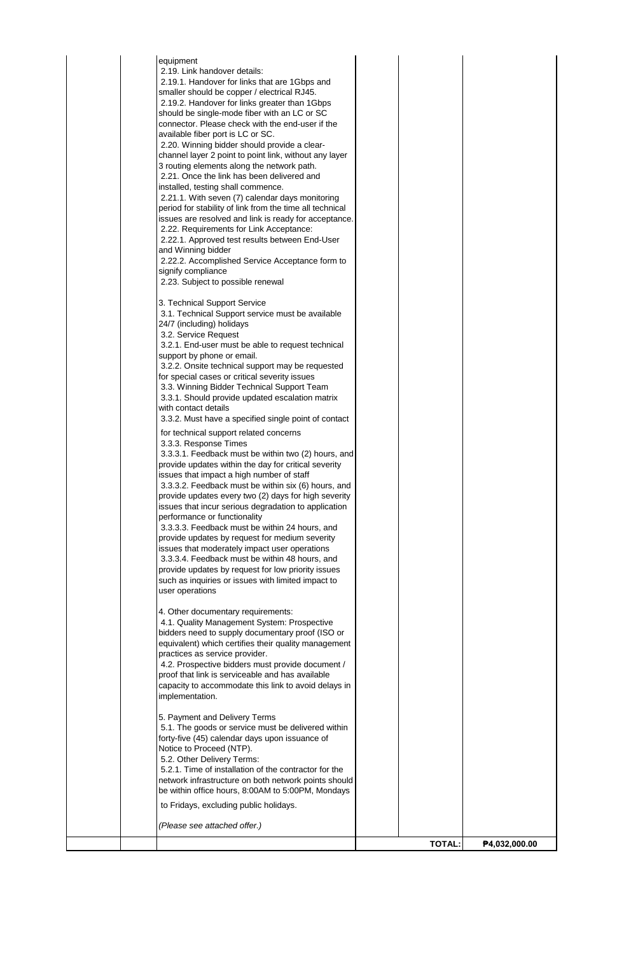| equipment<br>2.19. Link handover details:<br>2.19.1. Handover for links that are 1Gbps and<br>smaller should be copper / electrical RJ45.<br>2.19.2. Handover for links greater than 1Gbps<br>should be single-mode fiber with an LC or SC<br>connector. Please check with the end-user if the<br>available fiber port is LC or SC.<br>2.20. Winning bidder should provide a clear-<br>channel layer 2 point to point link, without any layer<br>3 routing elements along the network path.<br>2.21. Once the link has been delivered and<br>installed, testing shall commence.<br>2.21.1. With seven (7) calendar days monitoring<br>period for stability of link from the time all technical<br>issues are resolved and link is ready for acceptance.<br>2.22. Requirements for Link Acceptance:<br>2.22.1. Approved test results between End-User<br>and Winning bidder<br>2.22.2. Accomplished Service Acceptance form to<br>signify compliance<br>2.23. Subject to possible renewal<br>3. Technical Support Service<br>3.1. Technical Support service must be available<br>24/7 (including) holidays<br>3.2. Service Request<br>3.2.1. End-user must be able to request technical<br>support by phone or email.<br>3.2.2. Onsite technical support may be requested<br>for special cases or critical severity issues<br>3.3. Winning Bidder Technical Support Team<br>3.3.1. Should provide updated escalation matrix<br>with contact details<br>3.3.2. Must have a specified single point of contact<br>for technical support related concerns<br>3.3.3. Response Times<br>3.3.3.1. Feedback must be within two (2) hours, and<br>provide updates within the day for critical severity<br>issues that impact a high number of staff<br>3.3.3.2. Feedback must be within six (6) hours, and<br>provide updates every two (2) days for high severity<br>issues that incur serious degradation to application<br>performance or functionality<br>3.3.3.3. Feedback must be within 24 hours, and<br>provide updates by request for medium severity<br>issues that moderately impact user operations<br>3.3.3.4. Feedback must be within 48 hours, and<br>provide updates by request for low priority issues<br>such as inquiries or issues with limited impact to<br>user operations<br>4. Other documentary requirements:<br>4.1. Quality Management System: Prospective<br>bidders need to supply documentary proof (ISO or<br>equivalent) which certifies their quality management<br>practices as service provider.<br>4.2. Prospective bidders must provide document /<br>proof that link is serviceable and has available<br>capacity to accommodate this link to avoid delays in |               |               |
|-------------------------------------------------------------------------------------------------------------------------------------------------------------------------------------------------------------------------------------------------------------------------------------------------------------------------------------------------------------------------------------------------------------------------------------------------------------------------------------------------------------------------------------------------------------------------------------------------------------------------------------------------------------------------------------------------------------------------------------------------------------------------------------------------------------------------------------------------------------------------------------------------------------------------------------------------------------------------------------------------------------------------------------------------------------------------------------------------------------------------------------------------------------------------------------------------------------------------------------------------------------------------------------------------------------------------------------------------------------------------------------------------------------------------------------------------------------------------------------------------------------------------------------------------------------------------------------------------------------------------------------------------------------------------------------------------------------------------------------------------------------------------------------------------------------------------------------------------------------------------------------------------------------------------------------------------------------------------------------------------------------------------------------------------------------------------------------------------------------------------------------------------------------------------------------------------------------------------------------------------------------------------------------------------------------------------------------------------------------------------------------------------------------------------------------------------------------------------------------------------------------------------------------------------------------------------------------------------------------------------------------------------------------------------------------------|---------------|---------------|
| implementation.<br>5. Payment and Delivery Terms<br>5.1. The goods or service must be delivered within<br>forty-five (45) calendar days upon issuance of<br>Notice to Proceed (NTP).<br>5.2. Other Delivery Terms:<br>5.2.1. Time of installation of the contractor for the<br>network infrastructure on both network points should<br>be within office hours, 8:00AM to 5:00PM, Mondays<br>to Fridays, excluding public holidays.                                                                                                                                                                                                                                                                                                                                                                                                                                                                                                                                                                                                                                                                                                                                                                                                                                                                                                                                                                                                                                                                                                                                                                                                                                                                                                                                                                                                                                                                                                                                                                                                                                                                                                                                                                                                                                                                                                                                                                                                                                                                                                                                                                                                                                                        |               |               |
| (Please see attached offer.)                                                                                                                                                                                                                                                                                                                                                                                                                                                                                                                                                                                                                                                                                                                                                                                                                                                                                                                                                                                                                                                                                                                                                                                                                                                                                                                                                                                                                                                                                                                                                                                                                                                                                                                                                                                                                                                                                                                                                                                                                                                                                                                                                                                                                                                                                                                                                                                                                                                                                                                                                                                                                                                              | <b>TOTAL:</b> | P4,032,000.00 |